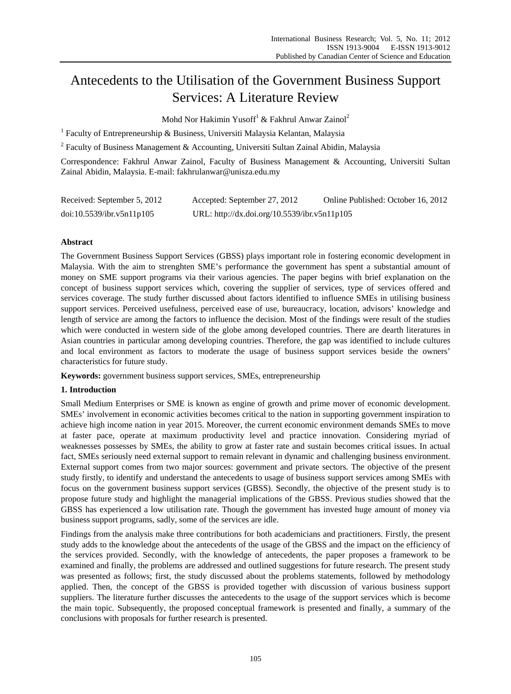# Antecedents to the Utilisation of the Government Business Support Services: A Literature Review

Mohd Nor Hakimin Yusoff<sup>1</sup> & Fakhrul Anwar Zainol<sup>2</sup>

<sup>1</sup> Faculty of Entrepreneurship & Business, Universiti Malaysia Kelantan, Malaysia

<sup>2</sup> Faculty of Business Management & Accounting, Universiti Sultan Zainal Abidin, Malaysia

Correspondence: Fakhrul Anwar Zainol, Faculty of Business Management & Accounting, Universiti Sultan Zainal Abidin, Malaysia. E-mail: fakhrulanwar@unisza.edu.my

| Received: September 5, 2012 | Accepted: September 27, 2012                 | Online Published: October 16, 2012 |
|-----------------------------|----------------------------------------------|------------------------------------|
| doi:10.5539/ibr.v5n11p105   | URL: http://dx.doi.org/10.5539/ibr.v5n11p105 |                                    |

# **Abstract**

The Government Business Support Services (GBSS) plays important role in fostering economic development in Malaysia. With the aim to strenghten SME's performance the government has spent a substantial amount of money on SME support programs via their various agencies. The paper begins with brief explanation on the concept of business support services which, covering the supplier of services, type of services offered and services coverage. The study further discussed about factors identified to influence SMEs in utilising business support services. Perceived usefulness, perceived ease of use, bureaucracy, location, advisors' knowledge and length of service are among the factors to influence the decision. Most of the findings were result of the studies which were conducted in western side of the globe among developed countries. There are dearth literatures in Asian countries in particular among developing countries. Therefore, the gap was identified to include cultures and local environment as factors to moderate the usage of business support services beside the owners' characteristics for future study.

**Keywords:** government business support services, SMEs, entrepreneurship

## **1. Introduction**

Small Medium Enterprises or SME is known as engine of growth and prime mover of economic development. SMEs' involvement in economic activities becomes critical to the nation in supporting government inspiration to achieve high income nation in year 2015. Moreover, the current economic environment demands SMEs to move at faster pace, operate at maximum productivity level and practice innovation. Considering myriad of weaknesses possesses by SMEs, the ability to grow at faster rate and sustain becomes critical issues. In actual fact, SMEs seriously need external support to remain relevant in dynamic and challenging business environment. External support comes from two major sources: government and private sectors. The objective of the present study firstly, to identify and understand the antecedents to usage of business support services among SMEs with focus on the government business support services (GBSS). Secondly, the objective of the present study is to propose future study and highlight the managerial implications of the GBSS. Previous studies showed that the GBSS has experienced a low utilisation rate. Though the government has invested huge amount of money via business support programs, sadly, some of the services are idle.

Findings from the analysis make three contributions for both academicians and practitioners. Firstly, the present study adds to the knowledge about the antecedents of the usage of the GBSS and the impact on the efficiency of the services provided. Secondly, with the knowledge of antecedents, the paper proposes a framework to be examined and finally, the problems are addressed and outlined suggestions for future research. The present study was presented as follows; first, the study discussed about the problems statements, followed by methodology applied. Then, the concept of the GBSS is provided together with discussion of various business support suppliers. The literature further discusses the antecedents to the usage of the support services which is become the main topic. Subsequently, the proposed conceptual framework is presented and finally, a summary of the conclusions with proposals for further research is presented.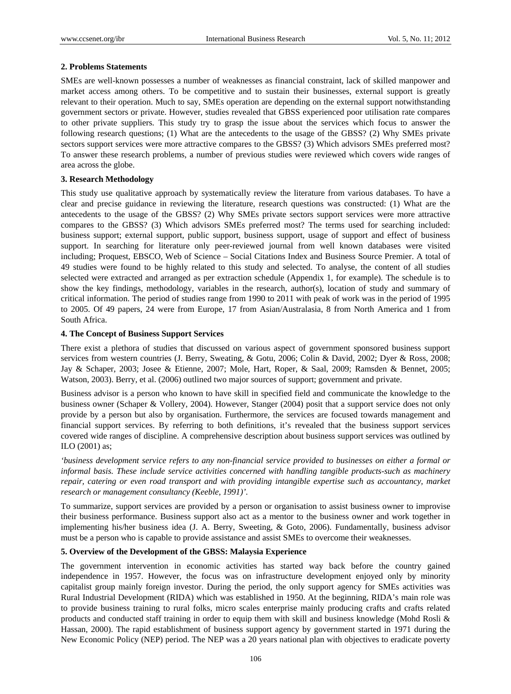# **2. Problems Statements**

SMEs are well-known possesses a number of weaknesses as financial constraint, lack of skilled manpower and market access among others. To be competitive and to sustain their businesses, external support is greatly relevant to their operation. Much to say, SMEs operation are depending on the external support notwithstanding government sectors or private. However, studies revealed that GBSS experienced poor utilisation rate compares to other private suppliers. This study try to grasp the issue about the services which focus to answer the following research questions; (1) What are the antecedents to the usage of the GBSS? (2) Why SMEs private sectors support services were more attractive compares to the GBSS? (3) Which advisors SMEs preferred most? To answer these research problems, a number of previous studies were reviewed which covers wide ranges of area across the globe.

# **3. Research Methodology**

This study use qualitative approach by systematically review the literature from various databases. To have a clear and precise guidance in reviewing the literature, research questions was constructed: (1) What are the antecedents to the usage of the GBSS? (2) Why SMEs private sectors support services were more attractive compares to the GBSS? (3) Which advisors SMEs preferred most? The terms used for searching included: business support; external support, public support, business support, usage of support and effect of business support. In searching for literature only peer-reviewed journal from well known databases were visited including; Proquest, EBSCO, Web of Science – Social Citations Index and Business Source Premier. A total of 49 studies were found to be highly related to this study and selected. To analyse, the content of all studies selected were extracted and arranged as per extraction schedule (Appendix 1, for example). The schedule is to show the key findings, methodology, variables in the research, author(s), location of study and summary of critical information. The period of studies range from 1990 to 2011 with peak of work was in the period of 1995 to 2005. Of 49 papers, 24 were from Europe, 17 from Asian/Australasia, 8 from North America and 1 from South Africa.

# **4. The Concept of Business Support Services**

There exist a plethora of studies that discussed on various aspect of government sponsored business support services from western countries (J. Berry, Sweating, & Gotu, 2006; Colin & David, 2002; Dyer & Ross, 2008; Jay & Schaper, 2003; Josee & Etienne, 2007; Mole, Hart, Roper, & Saal, 2009; Ramsden & Bennet, 2005; Watson, 2003). Berry, et al. (2006) outlined two major sources of support; government and private.

Business advisor is a person who known to have skill in specified field and communicate the knowledge to the business owner (Schaper & Vollery, 2004). However, Stanger (2004) posit that a support service does not only provide by a person but also by organisation. Furthermore, the services are focused towards management and financial support services. By referring to both definitions, it's revealed that the business support services covered wide ranges of discipline. A comprehensive description about business support services was outlined by ILO (2001) as;

*'business development service refers to any non-financial service provided to businesses on either a formal or informal basis. These include service activities concerned with handling tangible products-such as machinery repair, catering or even road transport and with providing intangible expertise such as accountancy, market research or management consultancy (Keeble, 1991)'.* 

To summarize, support services are provided by a person or organisation to assist business owner to improvise their business performance. Business support also act as a mentor to the business owner and work together in implementing his/her business idea (J. A. Berry, Sweeting, & Goto, 2006). Fundamentally, business advisor must be a person who is capable to provide assistance and assist SMEs to overcome their weaknesses.

# **5. Overview of the Development of the GBSS: Malaysia Experience**

The government intervention in economic activities has started way back before the country gained independence in 1957. However, the focus was on infrastructure development enjoyed only by minority capitalist group mainly foreign investor. During the period, the only support agency for SMEs activities was Rural Industrial Development (RIDA) which was established in 1950. At the beginning, RIDA's main role was to provide business training to rural folks, micro scales enterprise mainly producing crafts and crafts related products and conducted staff training in order to equip them with skill and business knowledge (Mohd Rosli & Hassan, 2000). The rapid establishment of business support agency by government started in 1971 during the New Economic Policy (NEP) period. The NEP was a 20 years national plan with objectives to eradicate poverty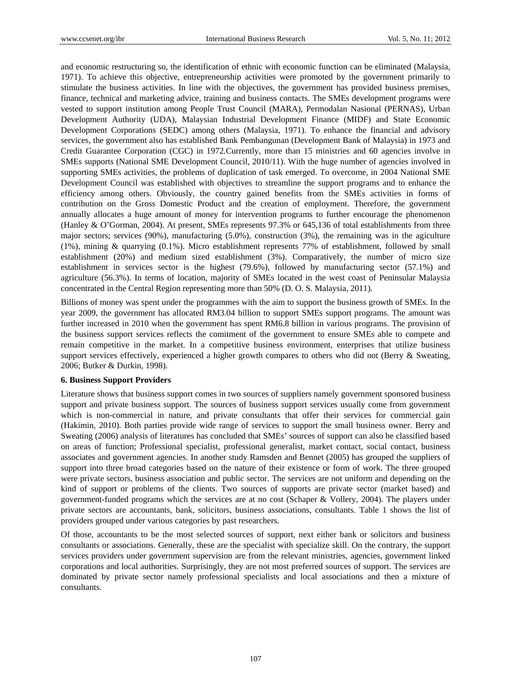and economic restructuring so, the identification of ethnic with economic function can be eliminated (Malaysia, 1971). To achieve this objective, entrepreneurship activities were promoted by the government primarily to stimulate the business activities. In line with the objectives, the government has provided business premises, finance, technical and marketing advice, training and business contacts. The SMEs development programs were vested to support institution among People Trust Council (MARA), Permodalan Nasional (PERNAS), Urban Development Authority (UDA), Malaysian Industrial Development Finance (MIDF) and State Economic Development Corporations (SEDC) among others (Malaysia, 1971). To enhance the financial and advisory services, the government also has established Bank Pembangunan (Development Bank of Malaysia) in 1973 and Credit Guarantee Corporation (CGC) in 1972.Currently, more than 15 ministries and 60 agencies involve in SMEs supports (National SME Development Council, 2010/11). With the huge number of agencies involved in supporting SMEs activities, the problems of duplication of task emerged. To overcome, in 2004 National SME Development Council was established with objectives to streamline the support programs and to enhance the efficiency among others. Obviously, the country gained benefits from the SMEs activities in forms of contribution on the Gross Domestic Product and the creation of employment. Therefore, the government annually allocates a huge amount of money for intervention programs to further encourage the phenomenon (Hanley & O'Gorman, 2004). At present, SMEs represents 97.3% or 645,136 of total establishments from three major sectors; services (90%), manufacturing (5.0%), construction (3%), the remaining was in the agiculture (1%), mining & quarrying (0.1%). Micro establishment represents 77% of establishment, followed by small establishment (20%) and medium sized establishment (3%). Comparatively, the number of micro size establishment in services sector is the highest (79.6%), followed by manufacturing sector (57.1%) and agriculture (56.3%). In terms of location, majority of SMEs located in the west coast of Peninsular Malaysia concentrated in the Central Region representing more than 50% (D. O. S. Malaysia, 2011).

Billions of money was spent under the programmes with the aim to support the business growth of SMEs. In the year 2009, the government has allocated RM3.04 billion to support SMEs support programs. The amount was further increased in 2010 when the government has spent RM6.8 billion in various programs. The provision of the business support services reflects the comitment of the government to ensure SMEs able to compete and remain competitive in the market. In a competitive business environment, enterprises that utilize business support services effectively, experienced a higher growth compares to others who did not (Berry & Sweating, 2006; Butker & Durkin, 1998).

## **6. Business Support Providers**

Literature shows that business support comes in two sources of suppliers namely government sponsored business support and private business support. The sources of business support services usually come from government which is non-commercial in nature, and private consultants that offer their services for commercial gain (Hakimin, 2010). Both parties provide wide range of services to support the small business owner. Berry and Sweating (2006) analysis of literatures has concluded that SMEs' sources of support can also be classified based on areas of function; Professional specialist, professional generalist, market contact, social contact, business associates and government agencies. In another study Ramsden and Bennet (2005) has grouped the suppliers of support into three broad categories based on the nature of their existence or form of work. The three grouped were private sectors, business association and public sector. The services are not uniform and depending on the kind of support or problems of the clients. Two sources of supports are private sector (market based) and government-funded programs which the services are at no cost (Schaper & Vollery, 2004). The players under private sectors are accountants, bank, solicitors, business associations, consultants. Table 1 shows the list of providers grouped under various categories by past researchers.

Of those, accountants to be the most selected sources of support, next either bank or solicitors and business consultants or associations. Generally, these are the specialist with specialize skill. On the contrary, the support services providers under government supervision are from the relevant ministries, agencies, government linked corporations and local authorities. Surprisingly, they are not most preferred sources of support. The services are dominated by private sector namely professional specialists and local associations and then a mixture of consultants.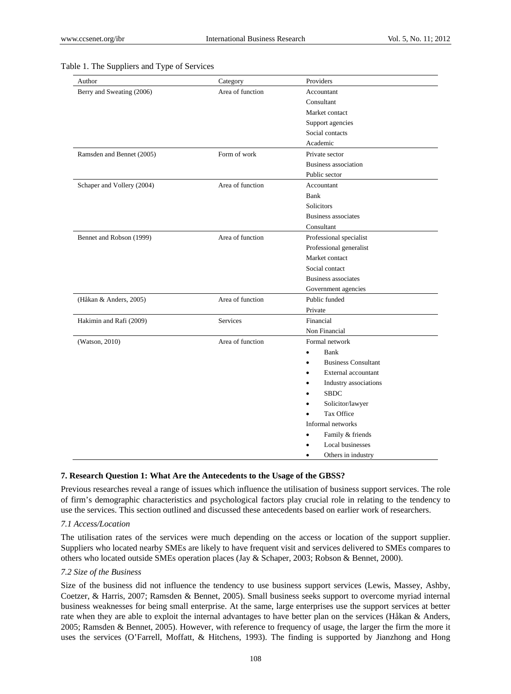| Author                     | Category         | Providers                               |  |
|----------------------------|------------------|-----------------------------------------|--|
| Berry and Sweating (2006)  | Area of function | Accountant                              |  |
|                            |                  | Consultant                              |  |
|                            |                  | Market contact                          |  |
|                            |                  | Support agencies                        |  |
|                            |                  | Social contacts                         |  |
|                            |                  | Academic                                |  |
| Ramsden and Bennet (2005)  | Form of work     | Private sector                          |  |
|                            |                  | Business association                    |  |
|                            |                  | Public sector                           |  |
| Schaper and Vollery (2004) | Area of function | Accountant                              |  |
|                            |                  | Bank                                    |  |
|                            |                  | Solicitors                              |  |
|                            |                  | Business associates                     |  |
|                            |                  | Consultant                              |  |
| Bennet and Robson (1999)   | Area of function | Professional specialist                 |  |
|                            |                  | Professional generalist                 |  |
|                            |                  | Market contact                          |  |
|                            |                  | Social contact                          |  |
|                            |                  | <b>Business associates</b>              |  |
|                            |                  | Government agencies                     |  |
| (Håkan & Anders, 2005)     | Area of function | Public funded                           |  |
|                            |                  | Private                                 |  |
| Hakimin and Rafi (2009)    | <b>Services</b>  | Financial                               |  |
|                            |                  | Non Financial                           |  |
| (Watson, 2010)             | Area of function | Formal network                          |  |
|                            |                  | Bank<br>$\bullet$                       |  |
|                            |                  | <b>Business Consultant</b><br>$\bullet$ |  |
|                            |                  | External accountant<br>$\bullet$        |  |
|                            |                  | Industry associations                   |  |
|                            |                  | <b>SBDC</b>                             |  |
|                            |                  | Solicitor/lawyer                        |  |
|                            |                  | Tax Office                              |  |
|                            |                  | Informal networks                       |  |
|                            |                  | Family & friends                        |  |
|                            |                  | Local businesses                        |  |
|                            |                  | Others in industry<br>٠                 |  |

#### Table 1. The Suppliers and Type of Services

## **7. Research Question 1: What Are the Antecedents to the Usage of the GBSS?**

Previous researches reveal a range of issues which influence the utilisation of business support services. The role of firm's demographic characteristics and psychological factors play crucial role in relating to the tendency to use the services. This section outlined and discussed these antecedents based on earlier work of researchers.

## *7.1 Access/Location*

The utilisation rates of the services were much depending on the access or location of the support supplier. Suppliers who located nearby SMEs are likely to have frequent visit and services delivered to SMEs compares to others who located outside SMEs operation places (Jay & Schaper, 2003; Robson & Bennet, 2000).

#### *7.2 Size of the Business*

Size of the business did not influence the tendency to use business support services (Lewis, Massey, Ashby, Coetzer, & Harris, 2007; Ramsden & Bennet, 2005). Small business seeks support to overcome myriad internal business weaknesses for being small enterprise. At the same, large enterprises use the support services at better rate when they are able to exploit the internal advantages to have better plan on the services (Håkan & Anders, 2005; Ramsden & Bennet, 2005). However, with reference to frequency of usage, the larger the firm the more it uses the services (O'Farrell, Moffatt, & Hitchens, 1993). The finding is supported by Jianzhong and Hong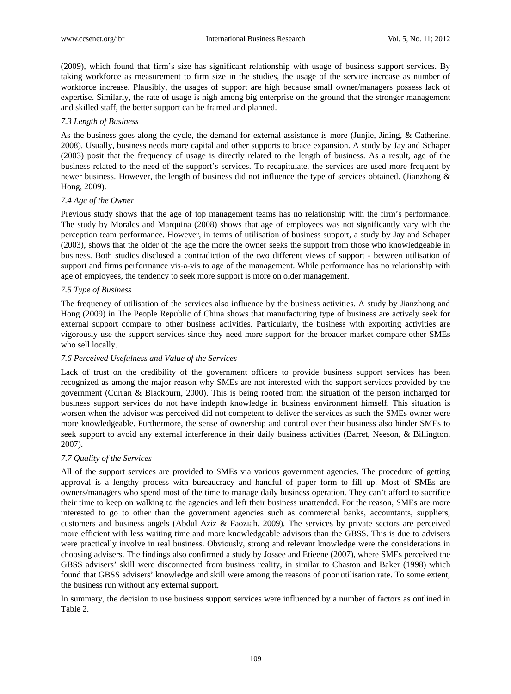(2009), which found that firm's size has significant relationship with usage of business support services. By taking workforce as measurement to firm size in the studies, the usage of the service increase as number of workforce increase. Plausibly, the usages of support are high because small owner/managers possess lack of expertise. Similarly, the rate of usage is high among big enterprise on the ground that the stronger management and skilled staff, the better support can be framed and planned.

#### *7.3 Length of Business*

As the business goes along the cycle, the demand for external assistance is more (Junjie, Jining, & Catherine, 2008). Usually, business needs more capital and other supports to brace expansion. A study by Jay and Schaper (2003) posit that the frequency of usage is directly related to the length of business. As a result, age of the business related to the need of the support's services. To recapitulate, the services are used more frequent by newer business. However, the length of business did not influence the type of services obtained. (Jianzhong & Hong, 2009).

#### *7.4 Age of the Owner*

Previous study shows that the age of top management teams has no relationship with the firm's performance. The study by Morales and Marquina (2008) shows that age of employees was not significantly vary with the perception team performance. However, in terms of utilisation of business support, a study by Jay and Schaper (2003), shows that the older of the age the more the owner seeks the support from those who knowledgeable in business. Both studies disclosed a contradiction of the two different views of support - between utilisation of support and firms performance vis-a-vis to age of the management. While performance has no relationship with age of employees, the tendency to seek more support is more on older management.

## *7.5 Type of Business*

The frequency of utilisation of the services also influence by the business activities. A study by Jianzhong and Hong (2009) in The People Republic of China shows that manufacturing type of business are actively seek for external support compare to other business activities. Particularly, the business with exporting activities are vigorously use the support services since they need more support for the broader market compare other SMEs who sell locally.

## *7.6 Perceived Usefulness and Value of the Services*

Lack of trust on the credibility of the government officers to provide business support services has been recognized as among the major reason why SMEs are not interested with the support services provided by the government (Curran & Blackburn, 2000). This is being rooted from the situation of the person incharged for business support services do not have indepth knowledge in business environment himself. This situation is worsen when the advisor was perceived did not competent to deliver the services as such the SMEs owner were more knowledgeable. Furthermore, the sense of ownership and control over their business also hinder SMEs to seek support to avoid any external interference in their daily business activities (Barret, Neeson, & Billington, 2007).

## *7.7 Quality of the Services*

All of the support services are provided to SMEs via various government agencies. The procedure of getting approval is a lengthy process with bureaucracy and handful of paper form to fill up. Most of SMEs are owners/managers who spend most of the time to manage daily business operation. They can't afford to sacrifice their time to keep on walking to the agencies and left their business unattended. For the reason, SMEs are more interested to go to other than the government agencies such as commercial banks, accountants, suppliers, customers and business angels (Abdul Aziz & Faoziah, 2009). The services by private sectors are perceived more efficient with less waiting time and more knowledgeable advisors than the GBSS. This is due to advisers were practically involve in real business. Obviously, strong and relevant knowledge were the considerations in choosing advisers. The findings also confirmed a study by Jossee and Etieene (2007), where SMEs perceived the GBSS advisers' skill were disconnected from business reality, in similar to Chaston and Baker (1998) which found that GBSS advisers' knowledge and skill were among the reasons of poor utilisation rate. To some extent, the business run without any external support.

In summary, the decision to use business support services were influenced by a number of factors as outlined in Table 2.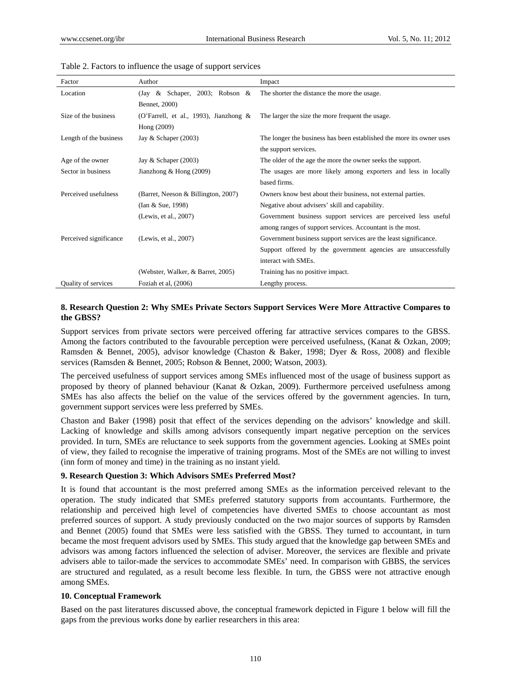| Factor                 | Author                                    | Impact                                                               |
|------------------------|-------------------------------------------|----------------------------------------------------------------------|
| Location               | (Jay & Schaper, 2003; Robson &            | The shorter the distance the more the usage.                         |
|                        | Bennet, 2000)                             |                                                                      |
| Size of the business   | (O'Farrell, et al., 1993), Jianzhong $\&$ | The larger the size the more frequent the usage.                     |
|                        | Hong (2009)                               |                                                                      |
| Length of the business | Jay & Schaper $(2003)$                    | The longer the business has been established the more its owner uses |
|                        |                                           | the support services.                                                |
| Age of the owner       | Jay & Schaper $(2003)$                    | The older of the age the more the owner seeks the support.           |
| Sector in business     | Jianzhong $&$ Hong (2009)                 | The usages are more likely among exporters and less in locally       |
|                        |                                           | based firms.                                                         |
| Perceived usefulness   | (Barret, Neeson & Billington, 2007)       | Owners know best about their business, not external parties.         |
|                        | (Ian & Sue, 1998)                         | Negative about advisers' skill and capability.                       |
|                        | (Lewis, et al., 2007)                     | Government business support services are perceived less useful       |
|                        |                                           | among ranges of support services. Accountant is the most.            |
| Perceived significance | (Lewis, et al., 2007)                     | Government business support services are the least significance.     |
|                        |                                           | Support offered by the government agencies are unsuccessfully        |
|                        |                                           | interact with SMEs.                                                  |
|                        | (Webster, Walker, & Barret, 2005)         | Training has no positive impact.                                     |
| Quality of services    | Foziah et al, (2006)                      | Lengthy process.                                                     |

#### Table 2. Factors to influence the usage of support services

## **8. Research Question 2: Why SMEs Private Sectors Support Services Were More Attractive Compares to the GBSS?**

Support services from private sectors were perceived offering far attractive services compares to the GBSS. Among the factors contributed to the favourable perception were perceived usefulness, (Kanat & Ozkan, 2009; Ramsden & Bennet, 2005), advisor knowledge (Chaston & Baker, 1998; Dyer & Ross, 2008) and flexible services (Ramsden & Bennet, 2005; Robson & Bennet, 2000; Watson, 2003).

The perceived usefulness of support services among SMEs influenced most of the usage of business support as proposed by theory of planned behaviour (Kanat & Ozkan, 2009). Furthermore perceived usefulness among SMEs has also affects the belief on the value of the services offered by the government agencies. In turn, government support services were less preferred by SMEs.

Chaston and Baker (1998) posit that effect of the services depending on the advisors' knowledge and skill. Lacking of knowledge and skills among advisors consequently impart negative perception on the services provided. In turn, SMEs are reluctance to seek supports from the government agencies. Looking at SMEs point of view, they failed to recognise the imperative of training programs. Most of the SMEs are not willing to invest (inn form of money and time) in the training as no instant yield.

#### **9. Research Question 3: Which Advisors SMEs Preferred Most?**

It is found that accountant is the most preferred among SMEs as the information perceived relevant to the operation. The study indicated that SMEs preferred statutory supports from accountants. Furthermore, the relationship and perceived high level of competencies have diverted SMEs to choose accountant as most preferred sources of support. A study previously conducted on the two major sources of supports by Ramsden and Bennet (2005) found that SMEs were less satisfied with the GBSS. They turned to accountant, in turn became the most frequent advisors used by SMEs. This study argued that the knowledge gap between SMEs and advisors was among factors influenced the selection of adviser. Moreover, the services are flexible and private advisers able to tailor-made the services to accommodate SMEs' need. In comparison with GBBS, the services are structured and regulated, as a result become less flexible. In turn, the GBSS were not attractive enough among SMEs.

#### **10. Conceptual Framework**

Based on the past literatures discussed above, the conceptual framework depicted in Figure 1 below will fill the gaps from the previous works done by earlier researchers in this area: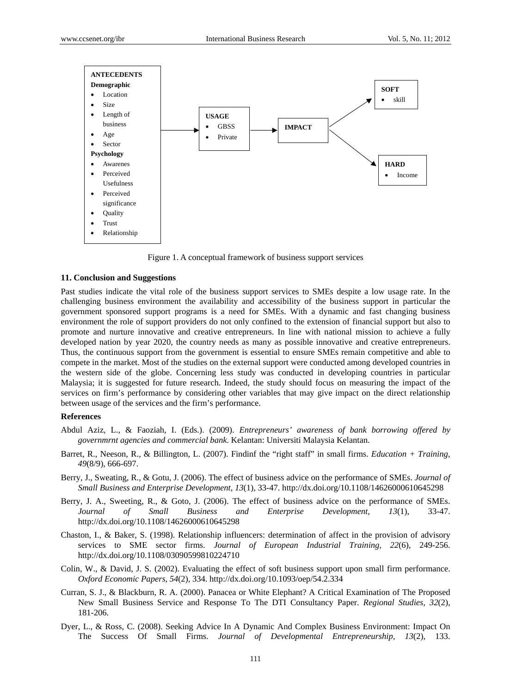

Figure 1. A conceptual framework of business support services

#### **11. Conclusion and Suggestions**

Past studies indicate the vital role of the business support services to SMEs despite a low usage rate. In the challenging business environment the availability and accessibility of the business support in particular the government sponsored support programs is a need for SMEs. With a dynamic and fast changing business environment the role of support providers do not only confined to the extension of financial support but also to promote and nurture innovative and creative entrepreneurs. In line with national mission to achieve a fully developed nation by year 2020, the country needs as many as possible innovative and creative entrepreneurs. Thus, the continuous support from the government is essential to ensure SMEs remain competitive and able to compete in the market. Most of the studies on the external support were conducted among developed countries in the western side of the globe. Concerning less study was conducted in developing countries in particular Malaysia; it is suggested for future research. Indeed, the study should focus on measuring the impact of the services on firm's performance by considering other variables that may give impact on the direct relationship between usage of the services and the firm's performance.

#### **References**

- Abdul Aziz, L., & Faoziah, I. (Eds.). (2009). *Entrepreneurs' awareness of bank borrowing offered by governmrnt agencies and commercial bank*. Kelantan: Universiti Malaysia Kelantan.
- Barret, R., Neeson, R., & Billington, L. (2007). Findinf the "right staff" in small firms. *Education + Training, 49*(8/9), 666-697.
- Berry, J., Sweating, R., & Gotu, J. (2006). The effect of business advice on the performance of SMEs. *Journal of Small Business and Enterprise Development, 13*(1), 33-47. http://dx.doi.org/10.1108/14626000610645298
- Berry, J. A., Sweeting, R., & Goto, J. (2006). The effect of business advice on the performance of SMEs. *Journal of Small Business and Enterprise Development, 13*(1), 33-47. http://dx.doi.org/10.1108/14626000610645298
- Chaston, I., & Baker, S. (1998). Relationship influencers: determination of affect in the provision of advisory services to SME sector firms. *Journal of European Industrial Training, 22*(6), 249-256. http://dx.doi.org/10.1108/03090599810224710
- Colin, W., & David, J. S. (2002). Evaluating the effect of soft business support upon small firm performance. *Oxford Economic Papers, 54*(2), 334. http://dx.doi.org/10.1093/oep/54.2.334
- Curran, S. J., & Blackburn, R. A. (2000). Panacea or White Elephant? A Critical Examination of The Proposed New Small Business Service and Response To The DTI Consultancy Paper. *Regional Studies, 32*(2), 181-206.
- Dyer, L., & Ross, C. (2008). Seeking Advice In A Dynamic And Complex Business Environment: Impact On The Success Of Small Firms. *Journal of Developmental Entrepreneurship, 13*(2), 133.